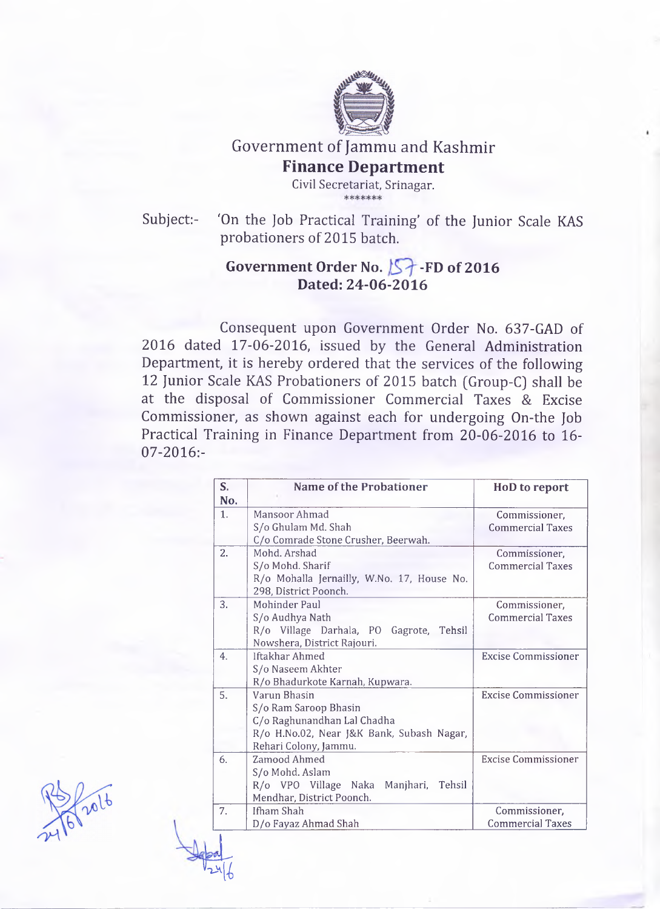

Government of Jammu and Kashmir

## **Finance Department**

Civil Secretariat, Srinagar.

Subject:- 'On the Job Practical Training' of the Junior Scale KAS probationers of 2015 batch.

## Government Order No. **5** FD of 2016 **Dated: 24-06-2016**

Consequent upon Government Order No. 637-GAD of 2016 dated 17-06-2016, issued by the General Administration Department, it is hereby ordered that the services of the following 12 Junior Scale KAS Probationers of 2015 batch [Group-C] shall be at the disposal of Commissioner Commercial Taxes & Excise Commissioner, as shown against each for undergoing On-the Job Practical Training in Finance Department from 20-06-2016 to 16 07-2016:-

| S.<br>No.        | <b>Name of the Probationer</b>                                                                                                             | <b>HoD</b> to report                     |
|------------------|--------------------------------------------------------------------------------------------------------------------------------------------|------------------------------------------|
| 1 <sub>1</sub>   | Mansoor Ahmad<br>S/o Ghulam Md. Shah<br>C/o Comrade Stone Crusher, Beerwah.                                                                | Commissioner,<br><b>Commercial Taxes</b> |
| $\overline{2}$ . | Mohd, Arshad<br>S/o Mohd. Sharif<br>R/o Mohalla Jernailly, W.No. 17, House No.<br>298, District Poonch.                                    | Commissioner,<br><b>Commercial Taxes</b> |
| 3.               | Mohinder Paul<br>S/o Audhya Nath<br>R/o Village Darhala, PO Gagrote, Tehsil<br>Nowshera, District Rajouri.                                 | Commissioner.<br><b>Commercial Taxes</b> |
| 4.               | Iftakhar Ahmed<br>S/o Naseem Akhter<br>R/o Bhadurkote Karnah, Kupwara.                                                                     | <b>Excise Commissioner</b>               |
| 5.               | Varun Bhasin<br>S/o Ram Saroop Bhasin<br>C/o Raghunandhan Lal Chadha<br>R/o H.No.02, Near J&K Bank, Subash Nagar,<br>Rehari Colony, Jammu. | <b>Excise Commissioner</b>               |
| 6.               | Zamood Ahmed<br>S/o Mohd. Aslam<br>R/o VPO Village Naka Manjhari, Tehsil<br>Mendhar, District Poonch.                                      | <b>Excise Commissioner</b>               |
| 7.               | Ifham Shah<br>D/o Fayaz Ahmad Shah                                                                                                         | Commissioner,<br><b>Commercial Taxes</b> |



**p**<br> $\frac{1}{246}$